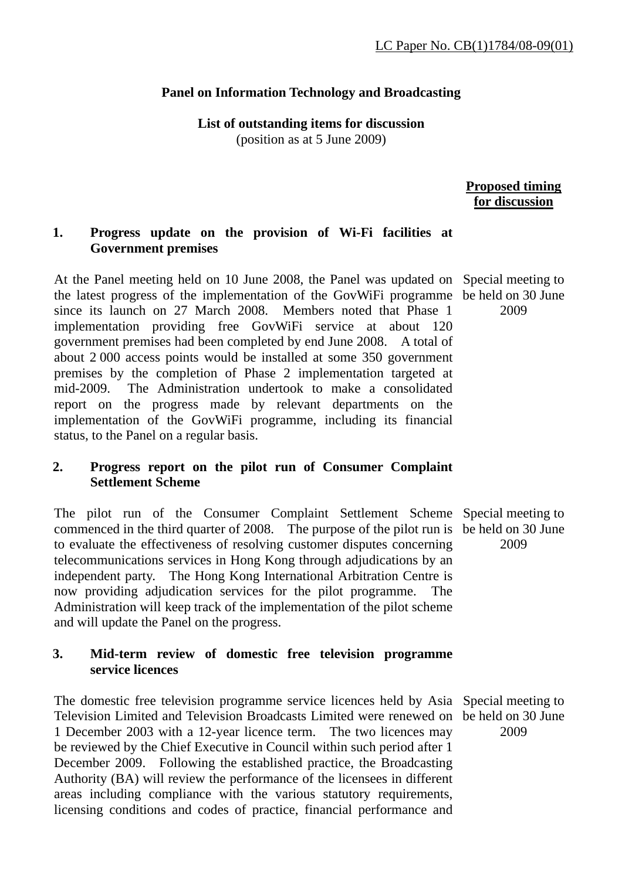## **Panel on Information Technology and Broadcasting**

**List of outstanding items for discussion**  (position as at 5 June 2009)

# **Proposed timing for discussion**

#### **1. Progress update on the provision of Wi-Fi facilities at Government premises**

At the Panel meeting held on 10 June 2008, the Panel was updated on Special meeting to the latest progress of the implementation of the GovWiFi programme be held on 30 June since its launch on 27 March 2008. Members noted that Phase 1 implementation providing free GovWiFi service at about 120 government premises had been completed by end June 2008. A total of about 2 000 access points would be installed at some 350 government premises by the completion of Phase 2 implementation targeted at mid-2009. The Administration undertook to make a consolidated report on the progress made by relevant departments on the implementation of the GovWiFi programme, including its financial status, to the Panel on a regular basis.

# **2. Progress report on the pilot run of Consumer Complaint Settlement Scheme**

The pilot run of the Consumer Complaint Settlement Scheme Special meeting to commenced in the third quarter of 2008. The purpose of the pilot run is be held on 30 June to evaluate the effectiveness of resolving customer disputes concerning telecommunications services in Hong Kong through adjudications by an independent party. The Hong Kong International Arbitration Centre is now providing adjudication services for the pilot programme. The Administration will keep track of the implementation of the pilot scheme and will update the Panel on the progress.

## **3. Mid-term review of domestic free television programme service licences**

The domestic free television programme service licences held by Asia Special meeting to Television Limited and Television Broadcasts Limited were renewed on be held on 30 June 1 December 2003 with a 12-year licence term. The two licences may be reviewed by the Chief Executive in Council within such period after 1 December 2009. Following the established practice, the Broadcasting Authority (BA) will review the performance of the licensees in different areas including compliance with the various statutory requirements, licensing conditions and codes of practice, financial performance and

2009

2009

2009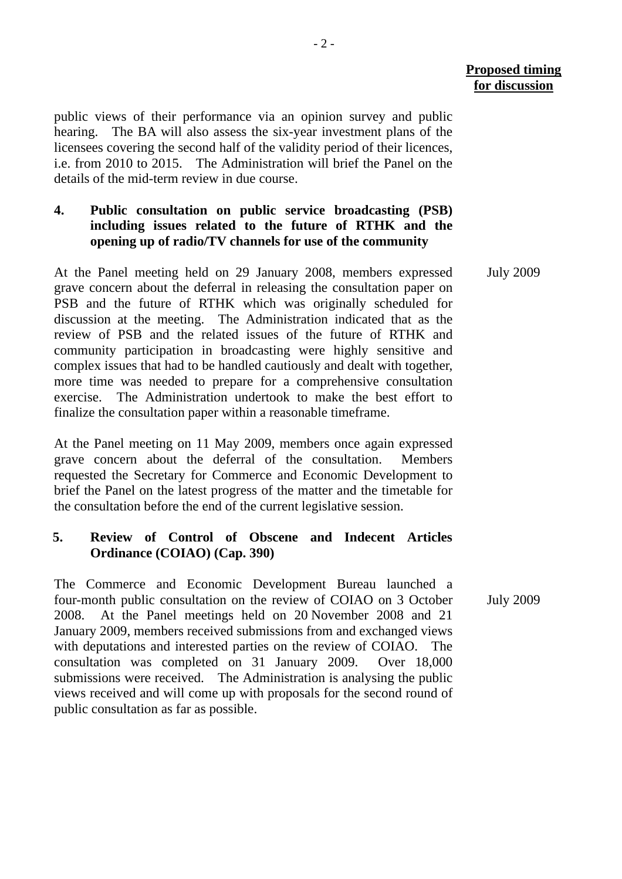public views of their performance via an opinion survey and public hearing. The BA will also assess the six-year investment plans of the licensees covering the second half of the validity period of their licences, i.e. from 2010 to 2015. The Administration will brief the Panel on the details of the mid-term review in due course.

# **4. Public consultation on public service broadcasting (PSB) including issues related to the future of RTHK and the opening up of radio/TV channels for use of the community**

At the Panel meeting held on 29 January 2008, members expressed grave concern about the deferral in releasing the consultation paper on PSB and the future of RTHK which was originally scheduled for discussion at the meeting. The Administration indicated that as the review of PSB and the related issues of the future of RTHK and community participation in broadcasting were highly sensitive and complex issues that had to be handled cautiously and dealt with together, more time was needed to prepare for a comprehensive consultation exercise. The Administration undertook to make the best effort to finalize the consultation paper within a reasonable timeframe.

At the Panel meeting on 11 May 2009, members once again expressed grave concern about the deferral of the consultation. Members requested the Secretary for Commerce and Economic Development to brief the Panel on the latest progress of the matter and the timetable for the consultation before the end of the current legislative session.

## **5. Review of Control of Obscene and Indecent Articles Ordinance (COIAO) (Cap. 390)**

The Commerce and Economic Development Bureau launched a four-month public consultation on the review of COIAO on 3 October 2008. At the Panel meetings held on 20 November 2008 and 21 January 2009, members received submissions from and exchanged views with deputations and interested parties on the review of COIAO. The consultation was completed on 31 January 2009. Over 18,000 submissions were received. The Administration is analysing the public views received and will come up with proposals for the second round of public consultation as far as possible.

July 2009

July 2009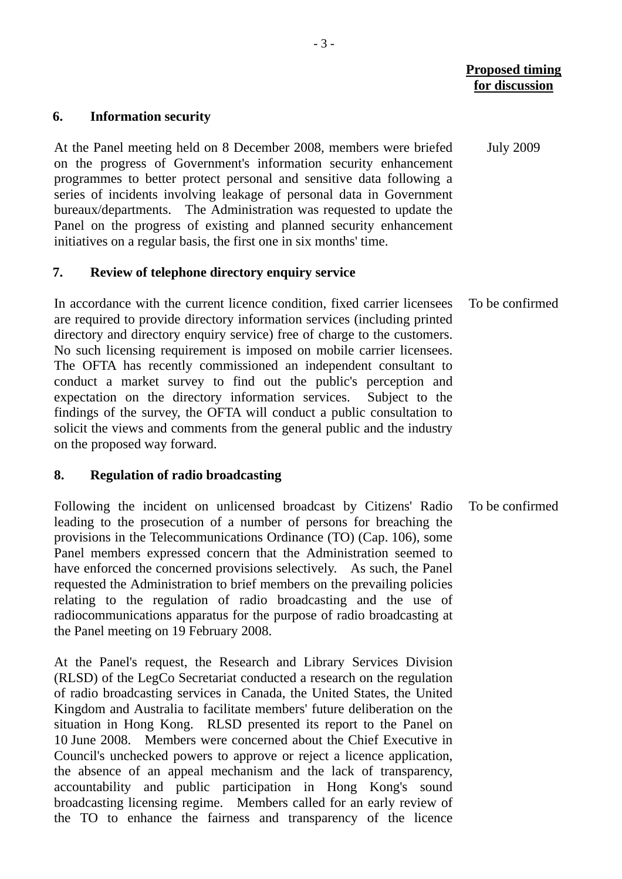July 2009

#### **6. Information security**

At the Panel meeting held on 8 December 2008, members were briefed on the progress of Government's information security enhancement programmes to better protect personal and sensitive data following a series of incidents involving leakage of personal data in Government bureaux/departments. The Administration was requested to update the Panel on the progress of existing and planned security enhancement initiatives on a regular basis, the first one in six months' time.

#### **7. Review of telephone directory enquiry service**

In accordance with the current licence condition, fixed carrier licensees are required to provide directory information services (including printed directory and directory enquiry service) free of charge to the customers. No such licensing requirement is imposed on mobile carrier licensees. The OFTA has recently commissioned an independent consultant to conduct a market survey to find out the public's perception and expectation on the directory information services. Subject to the findings of the survey, the OFTA will conduct a public consultation to solicit the views and comments from the general public and the industry on the proposed way forward. To be confirmed

#### **8. Regulation of radio broadcasting**

Following the incident on unlicensed broadcast by Citizens' Radio leading to the prosecution of a number of persons for breaching the provisions in the Telecommunications Ordinance (TO) (Cap. 106), some Panel members expressed concern that the Administration seemed to have enforced the concerned provisions selectively. As such, the Panel requested the Administration to brief members on the prevailing policies relating to the regulation of radio broadcasting and the use of radiocommunications apparatus for the purpose of radio broadcasting at the Panel meeting on 19 February 2008. To be confirmed

At the Panel's request, the Research and Library Services Division (RLSD) of the LegCo Secretariat conducted a research on the regulation of radio broadcasting services in Canada, the United States, the United Kingdom and Australia to facilitate members' future deliberation on the situation in Hong Kong. RLSD presented its report to the Panel on 10 June 2008. Members were concerned about the Chief Executive in Council's unchecked powers to approve or reject a licence application, the absence of an appeal mechanism and the lack of transparency, accountability and public participation in Hong Kong's sound broadcasting licensing regime. Members called for an early review of the TO to enhance the fairness and transparency of the licence